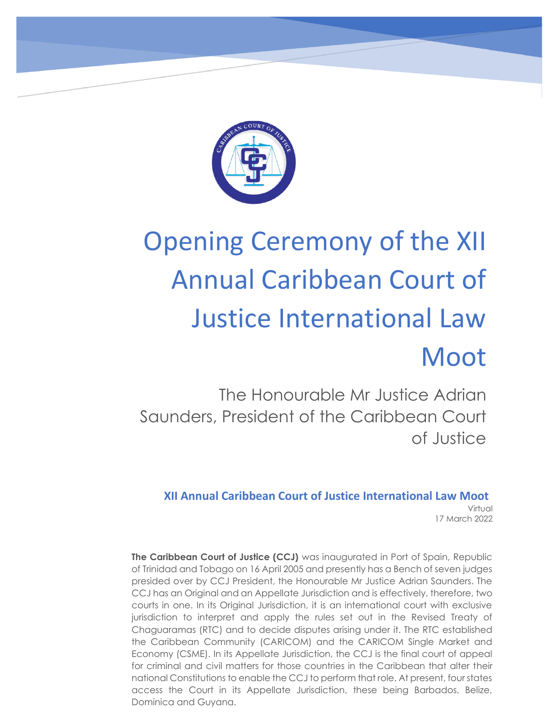

# Opening Ceremony of the XII Annual Caribbean Court of Justice International Law Moot

The Honourable Mr Justice Adrian Saunders, President of the Caribbean Court of Justice

**XII Annual Caribbean Court of Justice International Law Moot** Virtual 17 March 2022

**The Caribbean Court of Justice (CCJ)** was inaugurated in Port of Spain, Republic of Trinidad and Tobago on 16 April 2005 and presently has a Bench of seven judges presided over by CCJ President, the Honourable Mr Justice Adrian Saunders. The CCJ has an Original and an Appellate Jurisdiction and is effectively, therefore, two courts in one. In its Original Jurisdiction, it is an international court with exclusive jurisdiction to interpret and apply the rules set out in the Revised Treaty of Chaguaramas (RTC) and to decide disputes arising under it. The RTC established  the Caribbean Community (CARICOM) and the CARICOM Single Market and Economy (CSME). In its Appellate Jurisdiction, the CCJ is the final court of appeal for criminal and civil matters for those countries in the Caribbean that alter their national Constitutions to enable the CCJ to perform that role. At present, four states access the Court in its Appellate Jurisdiction, these being Barbados, Belize, Dominica and Guyana.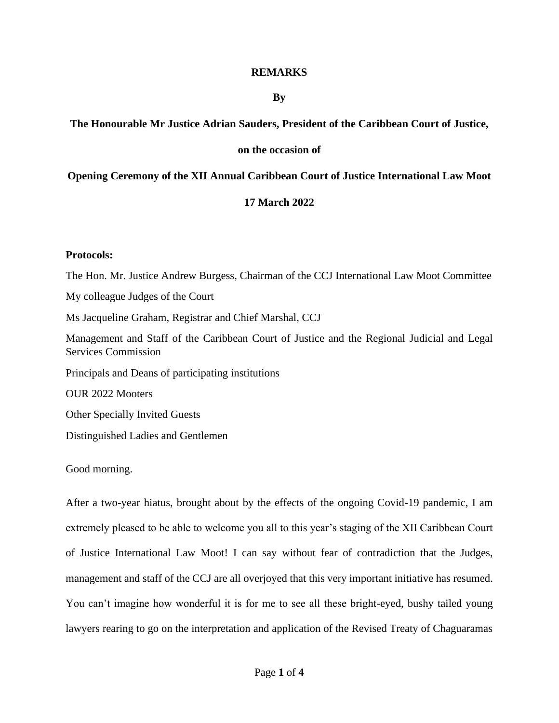# **REMARKS**

# **By**

# **The Honourable Mr Justice Adrian Sauders, President of the Caribbean Court of Justice,**

# **on the occasion of**

# **Opening Ceremony of the XII Annual Caribbean Court of Justice International Law Moot**

# **17 March 2022**

#### **Protocols:**

The Hon. Mr. Justice Andrew Burgess, Chairman of the CCJ International Law Moot Committee My colleague Judges of the Court Ms Jacqueline Graham, Registrar and Chief Marshal, CCJ Management and Staff of the Caribbean Court of Justice and the Regional Judicial and Legal Services Commission Principals and Deans of participating institutions OUR 2022 Mooters Other Specially Invited Guests Distinguished Ladies and Gentlemen

Good morning.

After a two-year hiatus, brought about by the effects of the ongoing Covid-19 pandemic, I am extremely pleased to be able to welcome you all to this year's staging of the XII Caribbean Court of Justice International Law Moot! I can say without fear of contradiction that the Judges, management and staff of the CCJ are all overjoyed that this very important initiative has resumed. You can't imagine how wonderful it is for me to see all these bright-eyed, bushy tailed young lawyers rearing to go on the interpretation and application of the Revised Treaty of Chaguaramas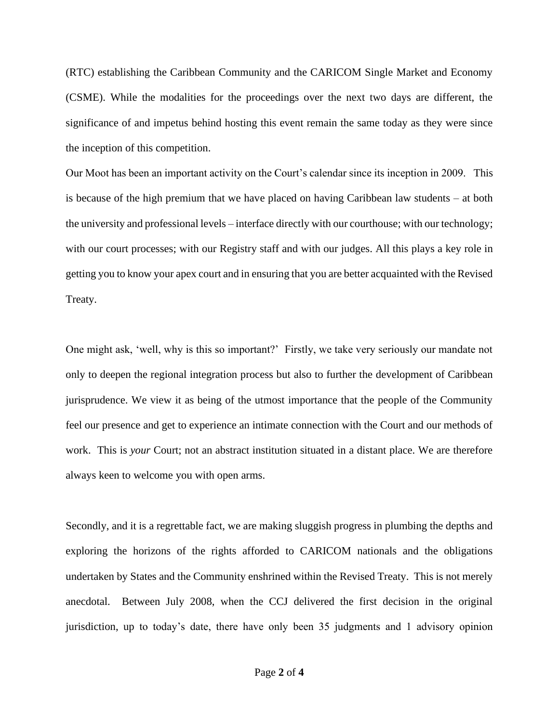(RTC) establishing the Caribbean Community and the CARICOM Single Market and Economy (CSME). While the modalities for the proceedings over the next two days are different, the significance of and impetus behind hosting this event remain the same today as they were since the inception of this competition.

Our Moot has been an important activity on the Court's calendar since its inception in 2009. This is because of the high premium that we have placed on having Caribbean law students – at both the university and professional levels – interface directly with our courthouse; with our technology; with our court processes; with our Registry staff and with our judges. All this plays a key role in getting you to know your apex court and in ensuring that you are better acquainted with the Revised Treaty.

One might ask, 'well, why is this so important?' Firstly, we take very seriously our mandate not only to deepen the regional integration process but also to further the development of Caribbean jurisprudence. We view it as being of the utmost importance that the people of the Community feel our presence and get to experience an intimate connection with the Court and our methods of work. This is *your* Court; not an abstract institution situated in a distant place. We are therefore always keen to welcome you with open arms.

Secondly, and it is a regrettable fact, we are making sluggish progress in plumbing the depths and exploring the horizons of the rights afforded to CARICOM nationals and the obligations undertaken by States and the Community enshrined within the Revised Treaty. This is not merely anecdotal. Between July 2008, when the CCJ delivered the first decision in the original jurisdiction, up to today's date, there have only been 35 judgments and 1 advisory opinion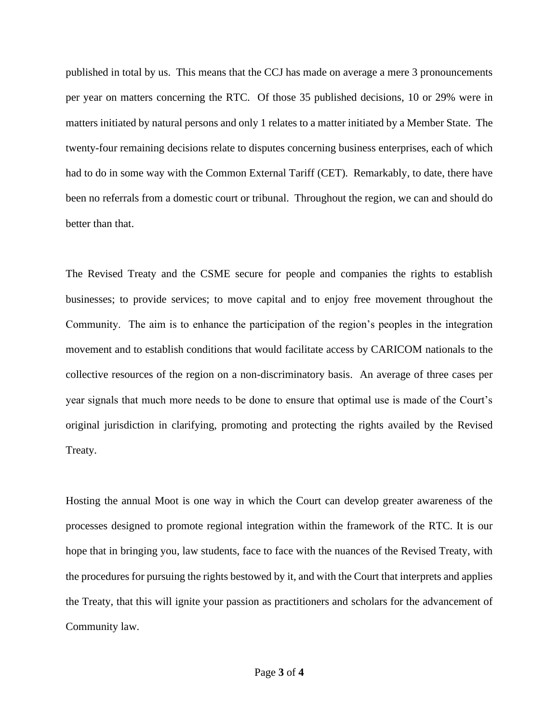published in total by us. This means that the CCJ has made on average a mere 3 pronouncements per year on matters concerning the RTC. Of those 35 published decisions, 10 or 29% were in matters initiated by natural persons and only 1 relates to a matter initiated by a Member State. The twenty-four remaining decisions relate to disputes concerning business enterprises, each of which had to do in some way with the Common External Tariff (CET). Remarkably, to date, there have been no referrals from a domestic court or tribunal. Throughout the region, we can and should do better than that.

The Revised Treaty and the CSME secure for people and companies the rights to establish businesses; to provide services; to move capital and to enjoy free movement throughout the Community. The aim is to enhance the participation of the region's peoples in the integration movement and to establish conditions that would facilitate access by CARICOM nationals to the collective resources of the region on a non-discriminatory basis. An average of three cases per year signals that much more needs to be done to ensure that optimal use is made of the Court's original jurisdiction in clarifying, promoting and protecting the rights availed by the Revised Treaty.

Hosting the annual Moot is one way in which the Court can develop greater awareness of the processes designed to promote regional integration within the framework of the RTC. It is our hope that in bringing you, law students, face to face with the nuances of the Revised Treaty, with the procedures for pursuing the rights bestowed by it, and with the Court that interprets and applies the Treaty, that this will ignite your passion as practitioners and scholars for the advancement of Community law.